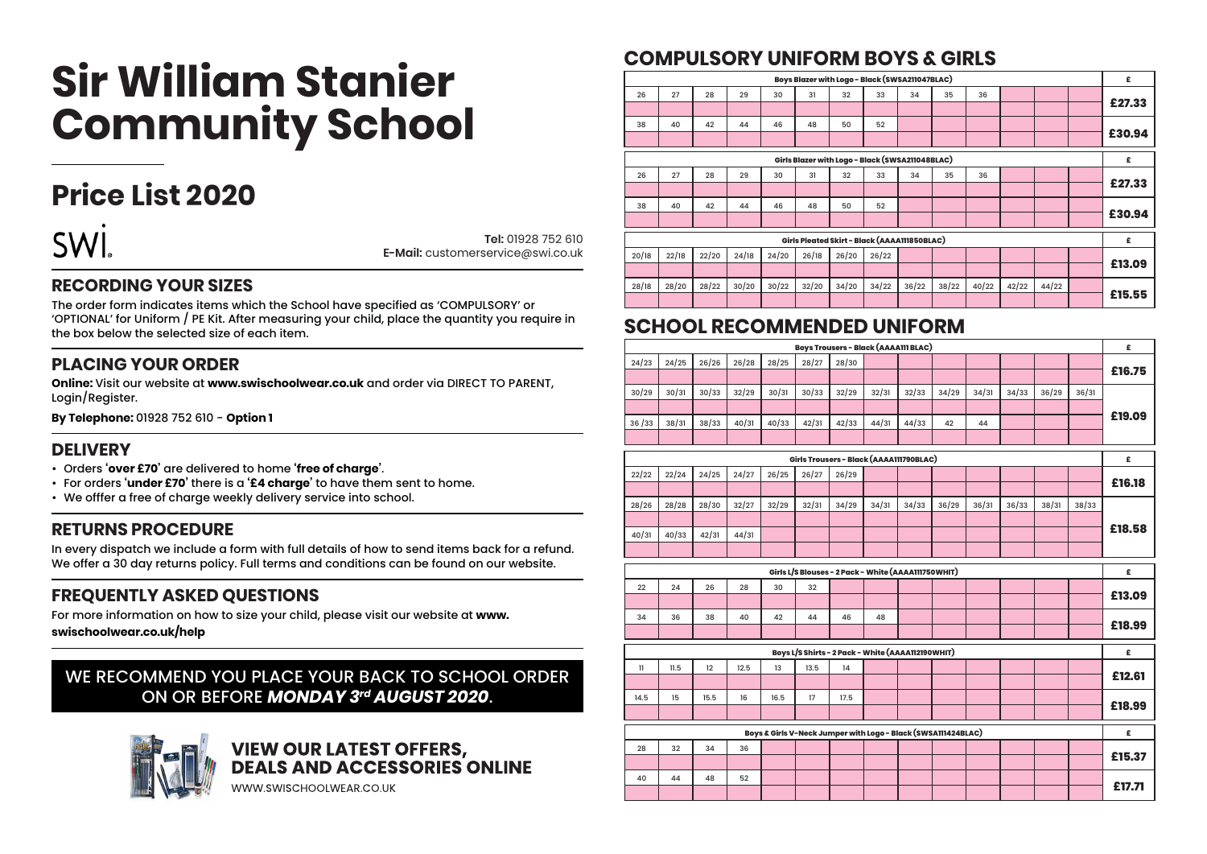# **Sir William Stanier Community School**

### **Price List 2020**

**SWI.** 

**Tel:** 01928 752 610 **E-Mail:** customerservice@swi.co.uk

#### **RECORDING YOUR SIZES**

The order form indicates items which the School have specified as 'COMPULSORY' or 'OPTIONAL' for Uniform / PE Kit. After measuring your child, place the quantity you require in the box below the selected size of each item.

#### **PLACING YOUR ORDER**

**Online:** Visit our website at **www.swischoolwear.co.uk** and order via DIRECT TO PARENT, Login/Register.

**By Telephone:** 01928 752 610 - **Option 1**

#### **DELIVERY**

- Orders **'over £70'** are delivered to home **'free of charge'**.
- For orders **'under £70'** there is a **'£4 charge'** to have them sent to home.
- We offfer a free of charge weekly delivery service into school.

#### **RETURNS PROCEDURE**

In every dispatch we include a form with full details of how to send items back for a refund. We offer a 30 day returns policy. Full terms and conditions can be found on our website.

#### **FREQUENTLY ASKED QUESTIONS**

For more information on how to size your child, please visit our website at **www.**

**swischoolwear.co.uk/help**

#### WE RECOMMEND YOU PLACE YOUR BACK TO SCHOOL ORDER ON OR BEFORE *MONDAY 3rd AUGUST 2020*.



## **VIEW OUR LATEST OFFERS,<br>DEALS AND ACCESSORIES ONLINE**

WWW.SWISCHOOLWEAR.CO.UK

#### **COMPULSORY UNIFORM BOYS & GIRLS**

| £      |                                                 |       |       |       | Boys Blazer with Logo - Black (SWSA211047BLAC) |       |       |       |       |       |       |       |       |
|--------|-------------------------------------------------|-------|-------|-------|------------------------------------------------|-------|-------|-------|-------|-------|-------|-------|-------|
|        |                                                 |       | 36    | 35    | 34                                             | 33    | 32    | 31    | 30    | 29    | 28    | 27    | 26    |
| £27.33 |                                                 |       |       |       |                                                |       |       |       |       |       |       |       |       |
|        |                                                 |       |       |       |                                                | 52    | 50    | 48    | 46    | 44    | 42    | 40    | 38    |
| £30.94 |                                                 |       |       |       |                                                |       |       |       |       |       |       |       |       |
| £      | Girls Blazer with Logo - Black (SWSA211048BLAC) |       |       |       |                                                |       |       |       |       |       |       |       |       |
|        |                                                 |       | 36    | 35    | 34                                             | 33    | 32    | 31    | 30    | 29    | 28    | 27    | 26    |
| £27.33 |                                                 |       |       |       |                                                |       |       |       |       |       |       |       |       |
|        |                                                 |       |       |       |                                                | 52    | 50    | 48    | 46    | 44    | 42    | 40    | 38    |
| £30.94 |                                                 |       |       |       |                                                |       |       |       |       |       |       |       |       |
| £      | Girls Pleated Skirt - Black (AAAA111850BLAC)    |       |       |       |                                                |       |       |       |       |       |       |       |       |
|        |                                                 |       |       |       |                                                | 26/22 | 26/20 | 26/18 | 24/20 | 24/18 | 22/20 | 22/18 | 20/18 |
| £13.09 |                                                 |       |       |       |                                                |       |       |       |       |       |       |       |       |
|        | 44/22                                           | 42/22 | 40/22 | 38/22 | 36/22                                          | 34/22 | 34/20 | 32/20 | 30/22 | 30/20 | 28/22 | 28/20 | 28/18 |
| £15.55 |                                                 |       |       |       |                                                |       |       |       |       |       |       |       |       |

#### **SCHOOL RECOMMENDED UNIFORM**

| £      |       |       |       |       |                                                               |       |       | <b>Boys Trousers - Black (AAAA111 BLAC)</b>         |       |       |       |       |       |               |
|--------|-------|-------|-------|-------|---------------------------------------------------------------|-------|-------|-----------------------------------------------------|-------|-------|-------|-------|-------|---------------|
|        |       |       |       |       |                                                               |       |       | 28/30                                               | 28/27 | 28/25 | 26/28 | 26/26 | 24/25 | 24/23         |
| £16.75 |       |       |       |       |                                                               |       |       |                                                     |       |       |       |       |       |               |
|        | 36/31 | 36/29 | 34/33 | 34/31 | 34/29                                                         | 32/33 | 32/31 | 32/29                                               | 30/33 | 30/31 | 32/29 | 30/33 | 30/31 | 30/29         |
|        |       |       |       |       |                                                               |       |       |                                                     |       |       |       |       |       |               |
| £19.09 |       |       |       | 44    | 42                                                            | 44/33 | 44/31 | 42/33                                               | 42/31 | 40/33 | 40/31 | 38/33 | 38/31 | 36/33         |
|        |       |       |       |       |                                                               |       |       |                                                     |       |       |       |       |       |               |
| £      |       |       |       |       |                                                               |       |       | Girls Trousers - Black (AAAA111790BLAC)             |       |       |       |       |       |               |
|        |       |       |       |       |                                                               |       |       | 26/29                                               | 26/27 | 26/25 | 24/27 | 24/25 | 22/24 | 22/22         |
| £16.18 |       |       |       |       |                                                               |       |       |                                                     |       |       |       |       |       |               |
|        | 38/33 | 38/31 | 36/33 | 36/31 | 36/29                                                         | 34/33 | 34/31 | 34/29                                               | 32/31 | 32/29 | 32/27 | 28/30 | 28/28 | 28/26         |
|        |       |       |       |       |                                                               |       |       |                                                     |       |       |       |       |       |               |
| £18.58 |       |       |       |       |                                                               |       |       |                                                     |       |       | 44/31 | 42/31 | 40/33 | 40/31         |
|        |       |       |       |       |                                                               |       |       |                                                     |       |       |       |       |       |               |
|        |       |       |       |       |                                                               |       |       |                                                     |       |       |       |       |       |               |
| £      |       |       |       |       |                                                               |       |       | Girls L/S Blouses - 2 Pack - White (AAAA111750WHIT) |       |       |       |       |       |               |
|        |       |       |       |       |                                                               |       |       |                                                     | 32    | 30    | 28    | 26    | 24    | 22            |
| £13.09 |       |       |       |       |                                                               |       |       |                                                     |       |       |       |       |       |               |
|        |       |       |       |       |                                                               |       | 48    | 46                                                  | 44    | 42    | 40    | 38    | 36    | 34            |
| £18.99 |       |       |       |       |                                                               |       |       |                                                     |       |       |       |       |       |               |
| £      |       |       |       |       |                                                               |       |       | Boys L/S Shirts - 2 Pack - White (AAAA112190WHIT)   |       |       |       |       |       |               |
|        |       |       |       |       |                                                               |       |       | 14                                                  | 13.5  | 13    | 12.5  | 12    | 11.5  | $\mathbf{11}$ |
| £12.61 |       |       |       |       |                                                               |       |       |                                                     |       |       |       |       |       |               |
|        |       |       |       |       |                                                               |       |       | 17.5                                                | 17    | 16.5  | 16    | 15.5  | 15    | 14.5          |
| £18.99 |       |       |       |       |                                                               |       |       |                                                     |       |       |       |       |       |               |
|        |       |       |       |       |                                                               |       |       |                                                     |       |       |       |       |       |               |
| £      |       |       |       |       | Boys & Girls V-Neck Jumper with Logo - Black (SWSA111424BLAC) |       |       |                                                     |       |       |       |       |       |               |
| £15.37 |       |       |       |       |                                                               |       |       |                                                     |       |       | 36    | 34    | 32    | 28            |
|        |       |       |       |       |                                                               |       |       |                                                     |       |       |       |       |       |               |
| £17.71 |       |       |       |       |                                                               |       |       |                                                     |       |       | 52    | 48    | 44    | 40            |
|        |       |       |       |       |                                                               |       |       |                                                     |       |       |       |       |       |               |